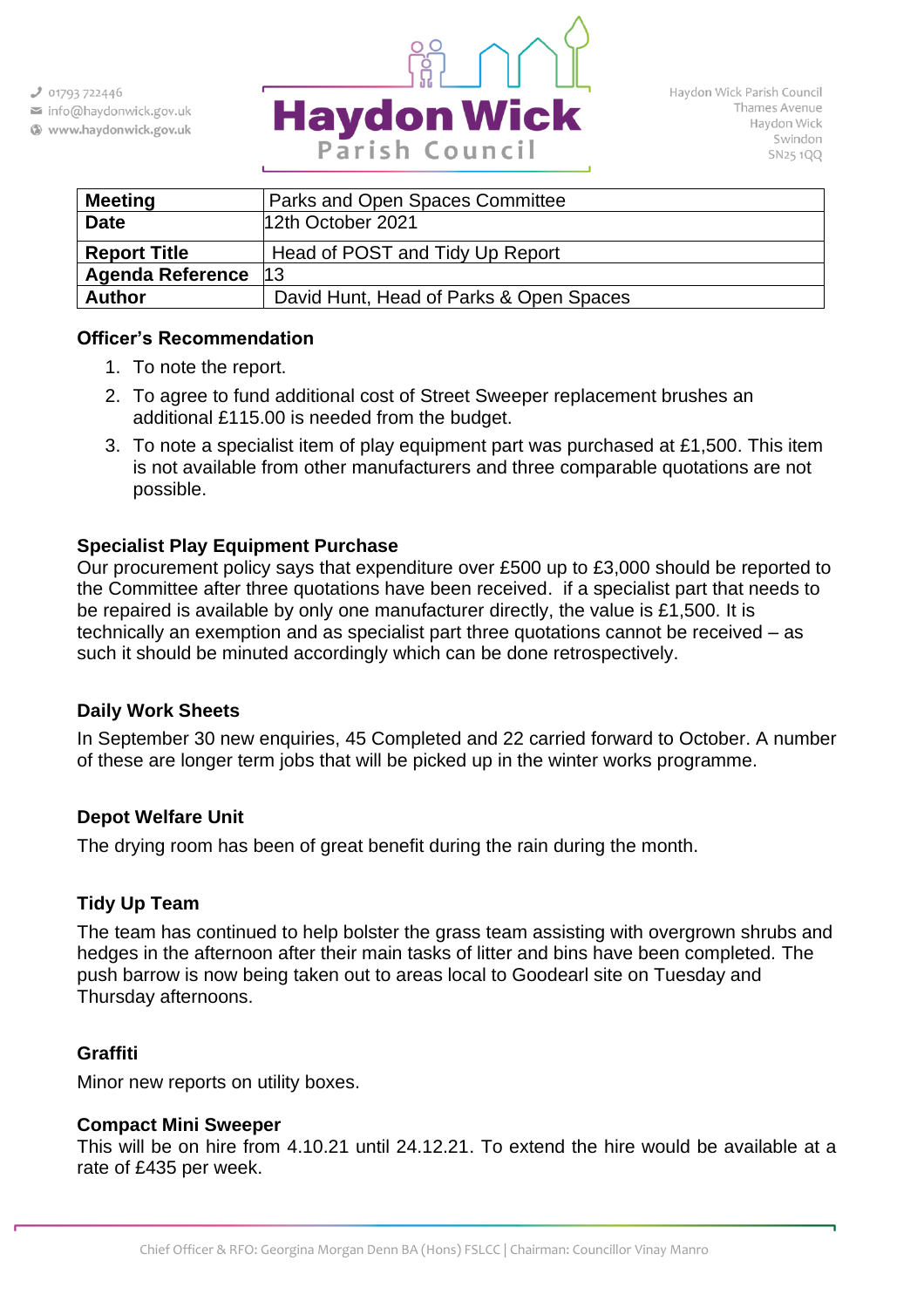

Haydon Wick Parish Council Thames Avenue Haydon Wick Swindon **SN251QQ** 

| <b>Meeting</b>          | Parks and Open Spaces Committee         |  |  |  |  |
|-------------------------|-----------------------------------------|--|--|--|--|
| <b>Date</b>             | 12th October 2021                       |  |  |  |  |
| <b>Report Title</b>     | Head of POST and Tidy Up Report         |  |  |  |  |
| <b>Agenda Reference</b> | 13                                      |  |  |  |  |
| <b>Author</b>           | David Hunt, Head of Parks & Open Spaces |  |  |  |  |

#### **Officer's Recommendation**

- 1. To note the report.
- 2. To agree to fund additional cost of Street Sweeper replacement brushes an additional £115.00 is needed from the budget.
- 3. To note a specialist item of play equipment part was purchased at £1,500. This item is not available from other manufacturers and three comparable quotations are not possible.

### **Specialist Play Equipment Purchase**

Our procurement policy says that expenditure over £500 up to £3,000 should be reported to the Committee after three quotations have been received. if a specialist part that needs to be repaired is available by only one manufacturer directly, the value is £1,500. It is technically an exemption and as specialist part three quotations cannot be received – as such it should be minuted accordingly which can be done retrospectively.

#### **Daily Work Sheets**

In September 30 new enquiries, 45 Completed and 22 carried forward to October. A number of these are longer term jobs that will be picked up in the winter works programme.

#### **Depot Welfare Unit**

The drying room has been of great benefit during the rain during the month.

## **Tidy Up Team**

The team has continued to help bolster the grass team assisting with overgrown shrubs and hedges in the afternoon after their main tasks of litter and bins have been completed. The push barrow is now being taken out to areas local to Goodearl site on Tuesday and Thursday afternoons.

## **Graffiti**

Minor new reports on utility boxes.

#### **Compact Mini Sweeper**

This will be on hire from 4.10.21 until 24.12.21. To extend the hire would be available at a rate of £435 per week.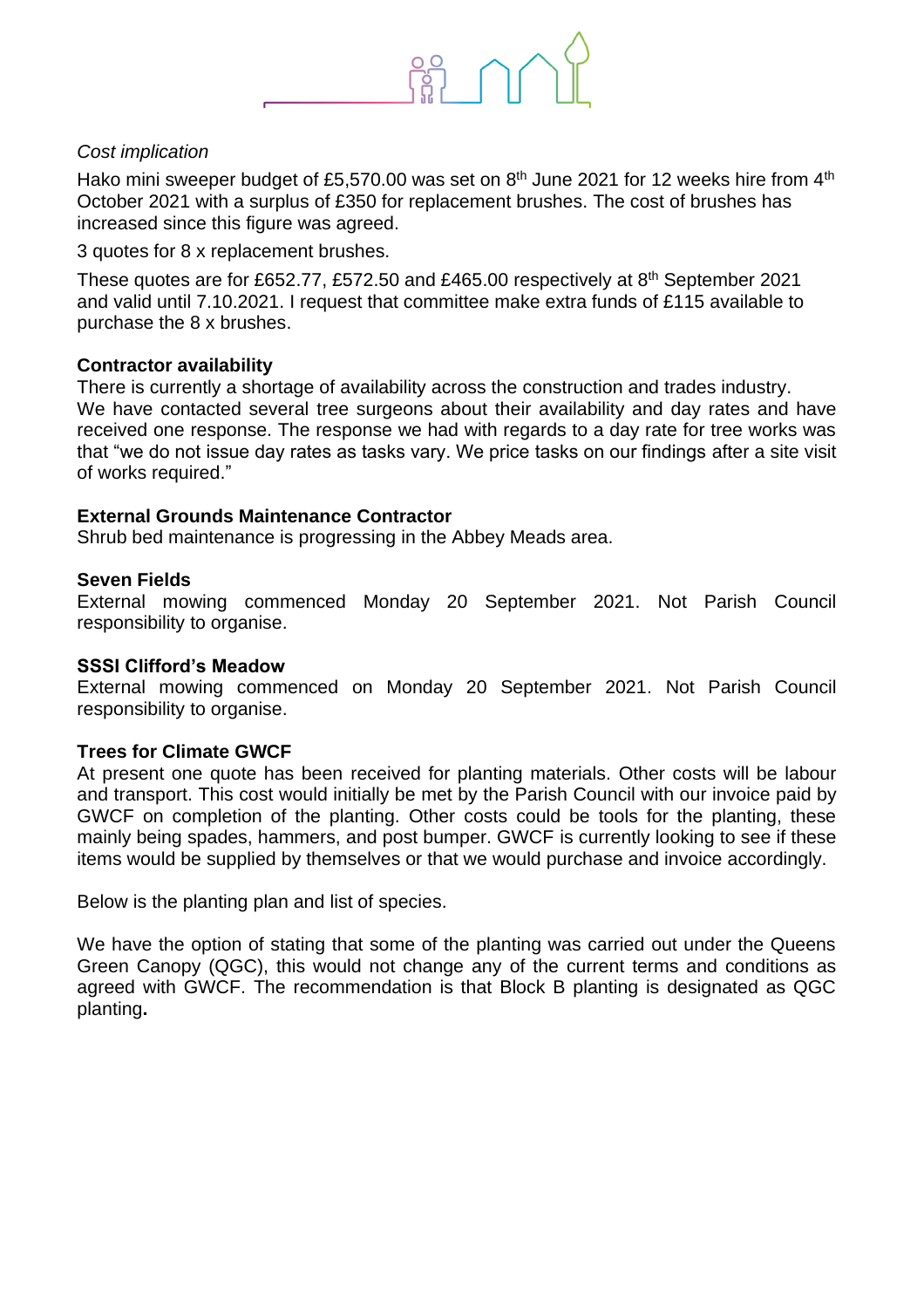

#### *Cost implication*

Hako mini sweeper budget of £5,570.00 was set on  $8^{\text{th}}$  June 2021 for 12 weeks hire from 4<sup>th</sup> October 2021 with a surplus of £350 for replacement brushes. The cost of brushes has increased since this figure was agreed.

3 quotes for 8 x replacement brushes.

These quotes are for £652.77, £572.50 and £465.00 respectively at 8<sup>th</sup> September 2021 and valid until 7.10.2021. I request that committee make extra funds of £115 available to purchase the 8 x brushes.

#### **Contractor availability**

There is currently a shortage of availability across the construction and trades industry. We have contacted several tree surgeons about their availability and day rates and have received one response. The response we had with regards to a day rate for tree works was that "we do not issue day rates as tasks vary. We price tasks on our findings after a site visit of works required."

#### **External Grounds Maintenance Contractor**

Shrub bed maintenance is progressing in the Abbey Meads area.

#### **Seven Fields**

External mowing commenced Monday 20 September 2021. Not Parish Council responsibility to organise.

#### **SSSI Clifford's Meadow**

External mowing commenced on Monday 20 September 2021. Not Parish Council responsibility to organise.

#### **Trees for Climate GWCF**

At present one quote has been received for planting materials. Other costs will be labour and transport. This cost would initially be met by the Parish Council with our invoice paid by GWCF on completion of the planting. Other costs could be tools for the planting, these mainly being spades, hammers, and post bumper. GWCF is currently looking to see if these items would be supplied by themselves or that we would purchase and invoice accordingly.

Below is the planting plan and list of species.

We have the option of stating that some of the planting was carried out under the Queens Green Canopy (QGC), this would not change any of the current terms and conditions as agreed with GWCF. The recommendation is that Block B planting is designated as QGC planting**.**